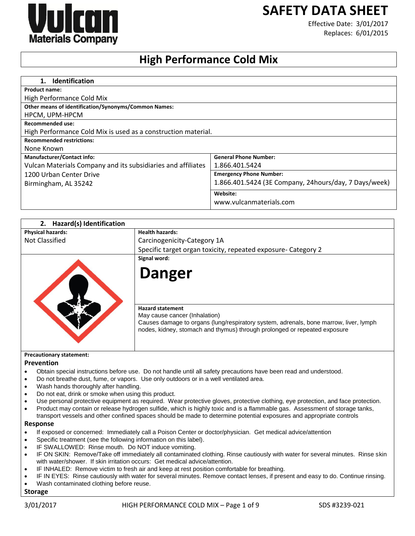# **SAFETY DATA SHEET**



Effective Date: 3/01/2017 Replaces: 6/01/2015

## **High Performance Cold Mix**

| <b>Identification</b><br>1.                                   |                                                       |
|---------------------------------------------------------------|-------------------------------------------------------|
| <b>Product name:</b>                                          |                                                       |
| High Performance Cold Mix                                     |                                                       |
| Other means of identification/Synonyms/Common Names:          |                                                       |
| HPCM, UPM-HPCM                                                |                                                       |
| <b>Recommended use:</b>                                       |                                                       |
| High Performance Cold Mix is used as a construction material. |                                                       |
| <b>Recommended restrictions:</b>                              |                                                       |
| None Known                                                    |                                                       |
| <b>Manufacturer/Contact info:</b>                             | <b>General Phone Number:</b>                          |
| Vulcan Materials Company and its subsidiaries and affiliates  | 1.866.401.5424                                        |
| 1200 Urban Center Drive                                       | <b>Emergency Phone Number:</b>                        |
| Birmingham, AL 35242                                          | 1.866.401.5424 (3E Company, 24hours/day, 7 Days/week) |
|                                                               | Website:                                              |
|                                                               | www.vulcanmaterials.com                               |

| <b>Hazard(s) Identification</b><br>2. |                                                                                                                                                                                                                                |
|---------------------------------------|--------------------------------------------------------------------------------------------------------------------------------------------------------------------------------------------------------------------------------|
| <b>Physical hazards:</b>              | <b>Health hazards:</b>                                                                                                                                                                                                         |
| Not Classified                        | Carcinogenicity-Category 1A                                                                                                                                                                                                    |
|                                       | Specific target organ toxicity, repeated exposure- Category 2                                                                                                                                                                  |
|                                       | Signal word:                                                                                                                                                                                                                   |
|                                       | Danger                                                                                                                                                                                                                         |
|                                       | <b>Hazard statement</b><br>May cause cancer (Inhalation)<br>Causes damage to organs (lung/respiratory system, adrenals, bone marrow, liver, lymph<br>nodes, kidney, stomach and thymus) through prolonged or repeated exposure |
| <b>Precautionary statement:</b>       |                                                                                                                                                                                                                                |
| <b>Prevention</b>                     |                                                                                                                                                                                                                                |
|                                       | Obtain special instructions before use. Do not handle until all safety precautions have been read and understood.                                                                                                              |
|                                       | Do not breathe dust, fume, or vapors. Use only outdoors or in a well ventilated area.                                                                                                                                          |

- Wash hands thoroughly after handling.
- Do not eat, drink or smoke when using this product.
- Use personal protective equipment as required. Wear protective gloves, protective clothing, eye protection, and face protection.
- Product may contain or release hydrogen sulfide, which is highly toxic and is a flammable gas. Assessment of storage tanks, transport vessels and other confined spaces should be made to determine potential exposures and appropriate controls

#### **Response**

- If exposed or concerned: Immediately call a Poison Center or doctor/physician. Get medical advice/attention
- Specific treatment (see the following information on this label).
- IF SWALLOWED: Rinse mouth. Do NOT induce vomiting.
- IF ON SKIN: Remove/Take off immediately all contaminated clothing. Rinse cautiously with water for several minutes. Rinse skin with water/shower. If skin irritation occurs: Get medical advice/attention.
- IF INHALED: Remove victim to fresh air and keep at rest position comfortable for breathing.
- IF IN EYES: Rinse cautiously with water for several minutes. Remove contact lenses, if present and easy to do. Continue rinsing.
- Wash contaminated clothing before reuse.

**Storage**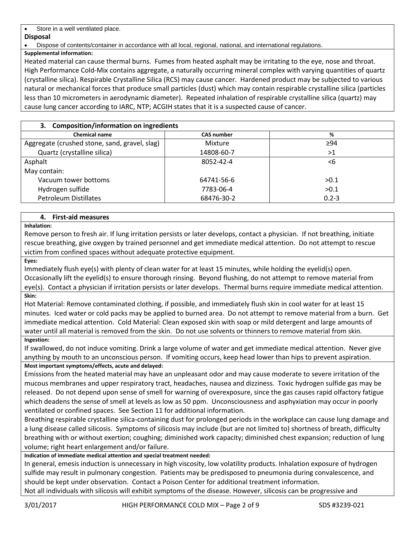Store in a well ventilated place.

## **Disposal**

Dispose of contents/container in accordance with all local, regional, national, and international regulations.

## **Supplemental information:**

Heated material can cause thermal burns. Fumes from heated asphalt may be irritating to the eye, nose and throat. High Performance Cold-Mix contains aggregate, a naturally occurring mineral complex with varying quantities of quartz (crystalline silica). Respirable Crystalline Silica (RCS) may cause cancer. Hardened product may be subjected to various natural or mechanical forces that produce small particles (dust) which may contain respirable crystalline silica (particles less than 10 micrometers in aerodynamic diameter). Repeated inhalation of respirable crystalline silica (quartz) may cause lung cancer according to IARC, NTP; ACGIH states that it is a suspected cause of cancer.

| 3. Composition/information on ingredients     |                   |           |  |
|-----------------------------------------------|-------------------|-----------|--|
| <b>Chemical name</b>                          | <b>CAS number</b> | %         |  |
| Aggregate (crushed stone, sand, gravel, slag) | Mixture           | $\geq$ 94 |  |
| Quartz (crystalline silica)                   | 14808-60-7        | >1        |  |
| Asphalt                                       | 8052-42-4         | <6        |  |
| May contain:                                  |                   |           |  |
| Vacuum tower bottoms                          | 64741-56-6        | >0.1      |  |
| Hydrogen sulfide                              | 7783-06-4         | >0.1      |  |
| <b>Petroleum Distillates</b>                  | 68476-30-2        | $0.2 - 3$ |  |

## **4. First-aid measures**

**Inhalation:**

Remove person to fresh air. If lung irritation persists or later develops, contact a physician. If not breathing, initiate rescue breathing, give oxygen by trained personnel and get immediate medical attention. Do not attempt to rescue victim from confined spaces without adequate protective equipment.

**Eyes:**

Immediately flush eye(s) with plenty of clean water for at least 15 minutes, while holding the eyelid(s) open. Occasionally lift the eyelid(s) to ensure thorough rinsing. Beyond flushing, do not attempt to remove material from eye(s). Contact a physician if irritation persists or later develops. Thermal burns require immediate medical attention. **Skin:**

Hot Material: Remove contaminated clothing, if possible, and immediately flush skin in cool water for at least 15 minutes. Iced water or cold packs may be applied to burned area. Do not attempt to remove material from a burn. Get immediate medical attention. Cold Material: Clean exposed skin with soap or mild detergent and large amounts of water until all material is removed from the skin. Do not use solvents or thinners to remove material from skin.

## **Ingestion:**

If swallowed, do not induce vomiting. Drink a large volume of water and get immediate medical attention. Never give anything by mouth to an unconscious person. If vomiting occurs, keep head lower than hips to prevent aspiration.

## **Most important symptoms/effects, acute and delayed:**

Emissions from the heated material may have an unpleasant odor and may cause moderate to severe irritation of the mucous membranes and upper respiratory tract, headaches, nausea and dizziness. Toxic hydrogen sulfide gas may be released. Do not depend upon sense of smell for warning of overexposure, since the gas causes rapid olfactory fatigue which deadens the sense of smell at levels as low as 50 ppm. Unconsciousness and asphyxiation may occur in poorly ventilated or confined spaces. See Section 11 for additional information.

Breathing respirable crystalline silica-containing dust for prolonged periods in the workplace can cause lung damage and a lung disease called silicosis. Symptoms of silicosis may include (but are not limited to) shortness of breath, difficulty breathing with or without exertion; coughing; diminished work capacity; diminished chest expansion; reduction of lung volume; right heart enlargement and/or failure.

## **Indication of immediate medical attention and special treatment needed:**

In general, emesis induction is unnecessary in high viscosity, low volatility products. Inhalation exposure of hydrogen sulfide may result in pulmonary congestion. Patients may be predisposed to pneumonia during convalescence, and should be kept under observation. Contact a Poison Center for additional treatment information.

Not all individuals with silicosis will exhibit symptoms of the disease. However, silicosis can be progressive and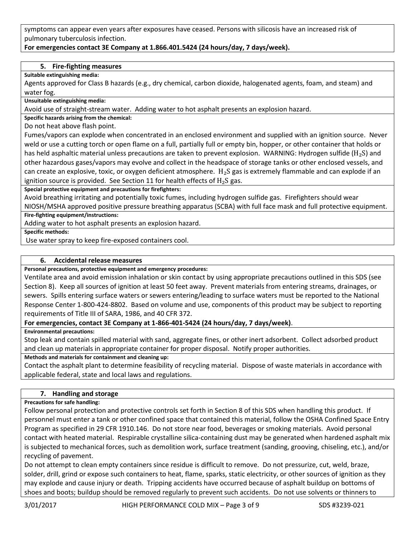symptoms can appear even years after exposures have ceased. Persons with silicosis have an increased risk of pulmonary tuberculosis infection.

## **For emergencies contact 3E Company at 1.866.401.5424 (24 hours/day, 7 days/week).**

### **5. Fire-fighting measures**

**Suitable extinguishing media:**

Agents approved for Class B hazards (e.g., dry chemical, carbon dioxide, halogenated agents, foam, and steam) and water fog.

**Unsuitable extinguishing media:**

Avoid use of straight-stream water. Adding water to hot asphalt presents an explosion hazard.

**Specific hazards arising from the chemical:**

Do not heat above flash point.

Fumes/vapors can explode when concentrated in an enclosed environment and supplied with an ignition source. Never weld or use a cutting torch or open flame on a full, partially full or empty bin, hopper, or other container that holds or has held asphaltic material unless precautions are taken to prevent explosion. WARNING: Hydrogen sulfide ( $H_2S$ ) and other hazardous gases/vapors may evolve and collect in the headspace of storage tanks or other enclosed vessels, and can create an explosive, toxic, or oxygen deficient atmosphere.  $H_2S$  gas is extremely flammable and can explode if an ignition source is provided. See Section 11 for health effects of  $H_2S$  gas.

**Special protective equipment and precautions for firefighters:**

Avoid breathing irritating and potentially toxic fumes, including hydrogen sulfide gas. Firefighters should wear NIOSH/MSHA approved positive pressure breathing apparatus (SCBA) with full face mask and full protective equipment.

#### **Fire-fighting equipment/instructions:**

Adding water to hot asphalt presents an explosion hazard.

**Specific methods:**

Use water spray to keep fire-exposed containers cool.

#### **6. Accidental release measures**

**Personal precautions, protective equipment and emergency procedures:**

Ventilate area and avoid emission inhalation or skin contact by using appropriate precautions outlined in this SDS (see Section 8). Keep all sources of ignition at least 50 feet away. Prevent materials from entering streams, drainages, or sewers. Spills entering surface waters or sewers entering/leading to surface waters must be reported to the National Response Center 1-800-424-8802. Based on volume and use, components of this product may be subject to reporting requirements of Title III of SARA, 1986, and 40 CFR 372.

## **For emergencies, contact 3E Company at 1-866-401-5424 (24 hours/day, 7 days/week)**.

**Environmental precautions:**

Stop leak and contain spilled material with sand, aggregate fines, or other inert adsorbent. Collect adsorbed product and clean up materials in appropriate container for proper disposal. Notify proper authorities.

**Methods and materials for containment and cleaning up:**

Contact the asphalt plant to determine feasibility of recycling material. Dispose of waste materials in accordance with applicable federal, state and local laws and regulations.

## **7. Handling and storage**

#### **Precautions for safe handling:**

Follow personal protection and protective controls set forth in Section 8 of this SDS when handling this product. If personnel must enter a tank or other confined space that contained this material, follow the OSHA Confined Space Entry Program as specified in 29 CFR 1910.146. Do not store near food, beverages or smoking materials. Avoid personal contact with heated material. Respirable crystalline silica-containing dust may be generated when hardened asphalt mix is subjected to mechanical forces, such as demolition work, surface treatment (sanding, grooving, chiseling, etc.), and/or recycling of pavement.

Do not attempt to clean empty containers since residue is difficult to remove. Do not pressurize, cut, weld, braze, solder, drill, grind or expose such containers to heat, flame, sparks, static electricity, or other sources of ignition as they may explode and cause injury or death. Tripping accidents have occurred because of asphalt buildup on bottoms of shoes and boots; buildup should be removed regularly to prevent such accidents. Do not use solvents or thinners to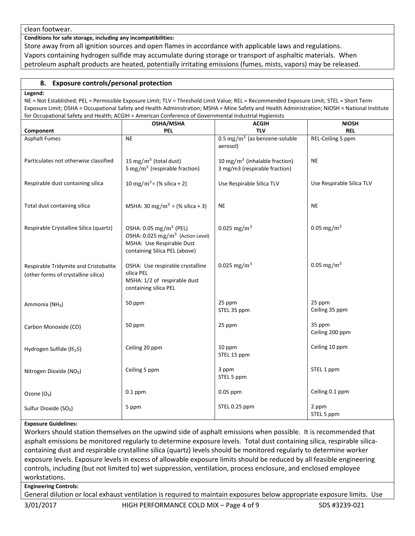clean footwear.

**Conditions for safe storage, including any incompatibilities:**

Store away from all ignition sources and open flames in accordance with applicable laws and regulations. Vapors containing hydrogen sulfide may accumulate during storage or transport of asphaltic materials. When petroleum asphalt products are heated, potentially irritating emissions (fumes, mists, vapors) may be released.

## **8. Exposure controls/personal protection**

#### **Legend:**

NE = Not Established; PEL = Permissible Exposure Limit; TLV = Threshold Limit Value; REL = Recommended Exposure Limit; STEL = Short Term Exposure Limit; OSHA = Occupational Safety and Health Administration; MSHA = Mine Safety and Health Administration; NIOSH = National Institute for Occupational Safety and Health; ACGIH = American Conference of Governmental Industrial Hygienists

| ioi Occupational Jarcty and Health, Acom – American comercilector Governmental industrial riygichists | OSHA/MSHA                                                                                                                                        | <b>ACGIH</b>                                                               | <b>NIOSH</b>              |
|-------------------------------------------------------------------------------------------------------|--------------------------------------------------------------------------------------------------------------------------------------------------|----------------------------------------------------------------------------|---------------------------|
| Component                                                                                             | <b>PEL</b>                                                                                                                                       | <b>TLV</b>                                                                 | <b>REL</b>                |
| <b>Asphalt Fumes</b>                                                                                  | N <sub>E</sub>                                                                                                                                   | $0.5 \text{ mg/m}^3$ (as benzene-soluble<br>aerosol)                       | REL-Ceiling 5 ppm         |
| Particulates not otherwise classified                                                                 | 15 mg/m $3$ (total dust)<br>5 mg/m <sup>3</sup> (respirable fraction)                                                                            | 10 mg/m <sup>3</sup> (inhalable fraction)<br>3 mg/m3 (respirable fraction) | <b>NE</b>                 |
| Respirable dust containing silica                                                                     | 10 mg/m <sup>3</sup> ÷ (% silica + 2)                                                                                                            | Use Respirable Silica TLV                                                  | Use Respirable Silica TLV |
| Total dust containing silica                                                                          | MSHA: 30 mg/m <sup>3</sup> ÷ (% silica + 3)                                                                                                      | <b>NE</b>                                                                  | <b>NE</b>                 |
| Respirable Crystalline Silica (quartz)                                                                | OSHA: 0.05 mg/m <sup>3</sup> (PEL)<br>OSHA: 0.025 mg/m <sup>3</sup> (Action Level)<br>MSHA: Use Respirable Dust<br>containing Silica PEL (above) | 0.025 mg/m <sup>3</sup>                                                    | 0.05 mg/m <sup>3</sup>    |
| Respirable Tridymite and Cristobalite<br>(other forms of crystalline silica)                          | OSHA: Use respirable crystalline<br>silica PEL<br>MSHA: 1/2 of respirable dust<br>containing silica PEL                                          | 0.025 mg/m <sup>3</sup>                                                    | 0.05 mg/m <sup>3</sup>    |
| Ammonia (NH <sub>3</sub> )                                                                            | 50 ppm                                                                                                                                           | 25 ppm<br>STEL 35 ppm                                                      | 25 ppm<br>Ceiling 35 ppm  |
| Carbon Monoxide (CO)                                                                                  | 50 ppm                                                                                                                                           | 25 ppm                                                                     | 35 ppm<br>Ceiling 200 ppm |
| Hydrogen Sulfide ( $H_2S$ )                                                                           | Ceiling 20 ppm                                                                                                                                   | 10 ppm<br>STEL 15 ppm                                                      | Ceiling 10 ppm            |
| Nitrogen Dioxide (NO2)                                                                                | Ceiling 5 ppm                                                                                                                                    | 3 ppm<br>STEL 5 ppm                                                        | STEL 1 ppm                |
| Ozone (O <sub>3</sub> )                                                                               | $0.1$ ppm                                                                                                                                        | $0.05$ ppm                                                                 | Ceiling 0.1 ppm           |
| Sulfur Dioxide (SO <sub>2</sub> )                                                                     | 5 ppm                                                                                                                                            | STEL 0.25 ppm                                                              | 2 ppm<br>STEL 5 ppm       |

## **Exposure Guidelines:**

Workers should station themselves on the upwind side of asphalt emissions when possible. It is recommended that asphalt emissions be monitored regularly to determine exposure levels. Total dust containing silica, respirable silicacontaining dust and respirable crystalline silica (quartz) levels should be monitored regularly to determine worker exposure levels. Exposure levels in excess of allowable exposure limits should be reduced by all feasible engineering controls, including (but not limited to) wet suppression, ventilation, process enclosure, and enclosed employee workstations.

#### **Engineering Controls:**

General dilution or local exhaust ventilation is required to maintain exposures below appropriate exposure limits. Use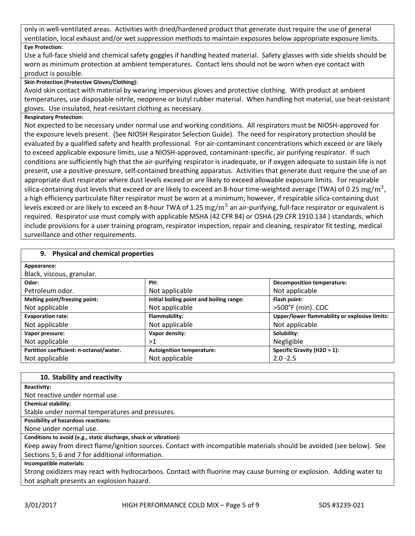only in well-ventilated areas. Activities with dried/hardened product that generate dust require the use of general ventilation, local exhaust and/or wet suppression methods to maintain exposures below appropriate exposure limits. **Eye Protection:**

Use a full-face shield and chemical safety goggles if handling heated material. Safety glasses with side shields should be worn as minimum protection at ambient temperatures. Contact lens should not be worn when eye contact with product is possible.

### **Skin Protection (Protective Gloves/Clothing):**

Avoid skin contact with material by wearing impervious gloves and protective clothing. With product at ambient temperatures, use disposable nitrile, neoprene or butyl rubber material. When handling hot material, use heat-resistant gloves. Use insulated, heat-resistant clothing as necessary.

#### **Respiratory Protection:**

Not expected to be necessary under normal use and working conditions. All respirators must be NIOSH-approved for the exposure levels present. (See NIOSH Respirator Selection Guide). The need for respiratory protection should be evaluated by a qualified safety and health professional. For air-contaminant concentrations which exceed or are likely to exceed applicable exposure limits, use a NIOSH-approved, contaminant-specific, air purifying respirator. If such conditions are sufficiently high that the air-purifying respirator is inadequate, or if oxygen adequate to sustain life is not present, use a positive-pressure, self-contained breathing apparatus. Activities that generate dust require the use of an appropriate dust respirator where dust levels exceed or are likely to exceed allowable exposure limits. For respirable silica-containing dust levels that exceed or are likely to exceed an 8-hour time-weighted average (TWA) of 0.25  $\rm mg/m^3$ , a high efficiency particulate filter respirator must be worn at a minimum; however, if respirable silica-containing dust levels exceed or are likely to exceed an 8-hour TWA of 1.25  $\rm mg/m^3$  an air-purifying, full-face respirator or equivalent is required. Respirator use must comply with applicable MSHA (42 CFR 84) or OSHA (29 CFR 1910.134 ) standards, which include provisions for a user training program, respirator inspection, repair and cleaning, respirator fit testing, medical surveillance and other requirements.

| 9. Physical and chemical properties     |                                          |                                               |
|-----------------------------------------|------------------------------------------|-----------------------------------------------|
| Appearance:                             |                                          |                                               |
| Black, viscous, granular.               |                                          |                                               |
| Odor:                                   | PH:                                      | <b>Decomposition temperature:</b>             |
| Petroleum odor.                         | Not applicable                           | Not applicable                                |
| Melting point/freezing point:           | Initial boiling point and boiling range: | Flash point:                                  |
| Not applicable                          | Not applicable                           | >500°F (min). COC                             |
| <b>Evaporation rate:</b>                | Flammability:                            | Upper/lower flammability or explosive limits: |
| Not applicable                          | Not applicable                           | Not applicable                                |
| Vapor pressure:                         | Vapor density:                           | Solubility:                                   |
| Not applicable                          | >1                                       | Negligible                                    |
| Partition coefficient: n-octanol/water. | <b>Autoignition temperature:</b>         | Specific Gravity (H2O = 1):                   |
| Not applicable                          | Not applicable                           | $2.0 - 2.5$                                   |

| 10. Stability and reactivity                                                                                         |
|----------------------------------------------------------------------------------------------------------------------|
| <b>Reactivity:</b>                                                                                                   |
| Not reactive under normal use.                                                                                       |
| <b>Chemical stability:</b>                                                                                           |
| Stable under normal temperatures and pressures.                                                                      |
| <b>Possibility of hazardous reactions:</b>                                                                           |
| None under normal use.                                                                                               |
| Conditions to avoid (e.g., static discharge, shock or vibration):                                                    |
| Keep away from direct flame/ignition sources. Contact with incompatible materials should be avoided (see below). See |
| Sections 5, 6 and 7 for additional information.                                                                      |
| Incompatible materials:                                                                                              |
| Strong oxidizers may react with hydrocarbons. Contact with fluorine may cause burning or explosion. Adding water to  |
| hot asphalt presents an explosion hazard.                                                                            |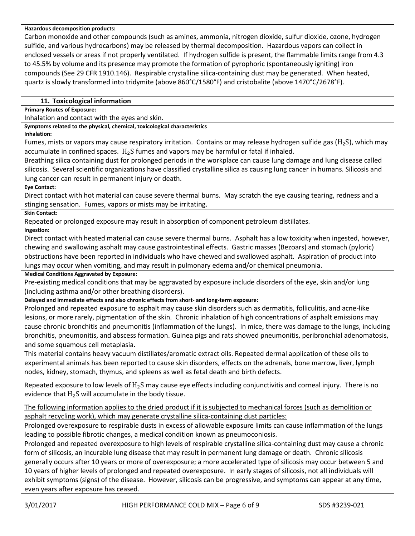#### **Hazardous decomposition products:**

Carbon monoxide and other compounds (such as amines, ammonia, nitrogen dioxide, sulfur dioxide, ozone, hydrogen sulfide, and various hydrocarbons) may be released by thermal decomposition. Hazardous vapors can collect in enclosed vessels or areas if not properly ventilated. If hydrogen sulfide is present, the flammable limits range from 4.3 to 45.5% by volume and its presence may promote the formation of pyrophoric (spontaneously igniting) iron compounds (See 29 CFR 1910.146). Respirable crystalline silica-containing dust may be generated. When heated, quartz is slowly transformed into tridymite (above 860°C/1580°F) and cristobalite (above 1470°C/2678°F).

## **11. Toxicological information**

**Primary Routes of Exposure:**

Inhalation and contact with the eyes and skin.

**Symptoms related to the physical, chemical, toxicological characteristics**

**Inhalation:** 

Fumes, mists or vapors may cause respiratory irritation. Contains or may release hydrogen sulfide gas ( $H_2S$ ), which may accumulate in confined spaces.  $H_2S$  fumes and vapors may be harmful or fatal if inhaled.

Breathing silica containing dust for prolonged periods in the workplace can cause lung damage and lung disease called silicosis. Several scientific organizations have classified crystalline silica as causing lung cancer in humans. Silicosis and lung cancer can result in permanent injury or death.

## **Eye Contact:**

Direct contact with hot material can cause severe thermal burns. May scratch the eye causing tearing, redness and a stinging sensation. Fumes, vapors or mists may be irritating.

**Skin Contact:**

Repeated or prolonged exposure may result in absorption of component petroleum distillates.

**Ingestion:**

Direct contact with heated material can cause severe thermal burns. Asphalt has a low toxicity when ingested, however, chewing and swallowing asphalt may cause gastrointestinal effects. Gastric masses (Bezoars) and stomach (pyloric) obstructions have been reported in individuals who have chewed and swallowed asphalt. Aspiration of product into lungs may occur when vomiting, and may result in pulmonary edema and/or chemical pneumonia.

**Medical Conditions Aggravated by Exposure:**

Pre-existing medical conditions that may be aggravated by exposure include disorders of the eye, skin and/or lung (including asthma and/or other breathing disorders).

**Delayed and immediate effects and also chronic effects from short- and long-term exposure:**

Prolonged and repeated exposure to asphalt may cause skin disorders such as dermatitis, folliculitis, and acne-like lesions, or more rarely, pigmentation of the skin. Chronic inhalation of high concentrations of asphalt emissions may cause chronic bronchitis and pneumonitis (inflammation of the lungs). In mice, there was damage to the lungs, including bronchitis, pneumonitis, and abscess formation. Guinea pigs and rats showed pneumonitis, peribronchial adenomatosis, and some squamous cell metaplasia.

This material contains heavy vacuum distillates/aromatic extract oils. Repeated dermal application of these oils to experimental animals has been reported to cause skin disorders, effects on the adrenals, bone marrow, liver, lymph nodes, kidney, stomach, thymus, and spleens as well as fetal death and birth defects.

Repeated exposure to low levels of  $H_2S$  may cause eye effects including conjunctivitis and corneal injury. There is no evidence that  $H_2S$  will accumulate in the body tissue.

The following information applies to the dried product if it is subjected to mechanical forces (such as demolition or asphalt recycling work), which may generate crystalline silica-containing dust particles:

Prolonged overexposure to respirable dusts in excess of allowable exposure limits can cause inflammation of the lungs leading to possible fibrotic changes, a medical condition known as pneumoconiosis.

Prolonged and repeated overexposure to high levels of respirable crystalline silica-containing dust may cause a chronic form of silicosis, an incurable lung disease that may result in permanent lung damage or death. Chronic silicosis generally occurs after 10 years or more of overexposure; a more accelerated type of silicosis may occur between 5 and 10 years of higher levels of prolonged and repeated overexposure. In early stages of silicosis, not all individuals will exhibit symptoms (signs) of the disease. However, silicosis can be progressive, and symptoms can appear at any time, even years after exposure has ceased.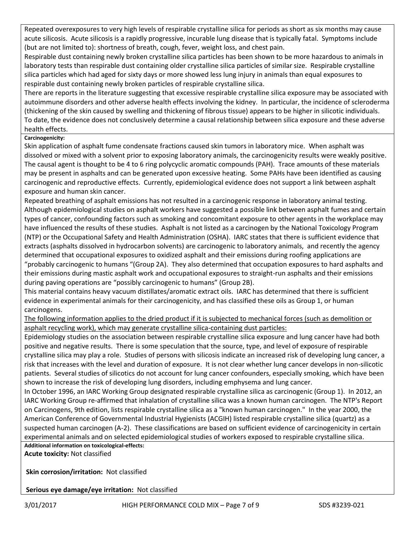Repeated overexposures to very high levels of respirable crystalline silica for periods as short as six months may cause acute silicosis. Acute silicosis is a rapidly progressive, incurable lung disease that is typically fatal. Symptoms include (but are not limited to): shortness of breath, cough, fever, weight loss, and chest pain.

Respirable dust containing newly broken crystalline silica particles has been shown to be more hazardous to animals in laboratory tests than respirable dust containing older crystalline silica particles of similar size. Respirable crystalline silica particles which had aged for sixty days or more showed less lung injury in animals than equal exposures to respirable dust containing newly broken particles of respirable crystalline silica.

There are reports in the literature suggesting that excessive respirable crystalline silica exposure may be associated with autoimmune disorders and other adverse health effects involving the kidney. In particular, the incidence of scleroderma (thickening of the skin caused by swelling and thickening of fibrous tissue) appears to be higher in silicotic individuals. To date, the evidence does not conclusively determine a causal relationship between silica exposure and these adverse health effects.

## **Carcinogenicity:**

Skin application of asphalt fume condensate fractions caused skin tumors in laboratory mice. When asphalt was dissolved or mixed with a solvent prior to exposing laboratory animals, the carcinogenicity results were weakly positive. The causal agent is thought to be 4 to 6 ring polycyclic aromatic compounds (PAH). Trace amounts of these materials may be present in asphalts and can be generated upon excessive heating. Some PAHs have been identified as causing carcinogenic and reproductive effects. Currently, epidemiological evidence does not support a link between asphalt exposure and human skin cancer.

Repeated breathing of asphalt emissions has not resulted in a carcinogenic response in laboratory animal testing. Although epidemiological studies on asphalt workers have suggested a possible link between asphalt fumes and certain types of cancer, confounding factors such as smoking and concomitant exposure to other agents in the workplace may have influenced the results of these studies. Asphalt is not listed as a carcinogen by the National Toxicology Program (NTP) or the Occupational Safety and Health Administration (OSHA). IARC states that there is sufficient evidence that extracts (asphalts dissolved in hydrocarbon solvents) are carcinogenic to laboratory animals, and recently the agency determined that occupational exposures to oxidized asphalt and their emissions during roofing applications are "probably carcinogenic to humans "(Group 2A). They also determined that occupation exposures to hard asphalts and their emissions during mastic asphalt work and occupational exposures to straight-run asphalts and their emissions during paving operations are "possibly carcinogenic to humans" (Group 2B).

This material contains heavy vacuum distillates/aromatic extract oils. IARC has determined that there is sufficient evidence in experimental animals for their carcinogenicity, and has classified these oils as Group 1, or human carcinogens.

The following information applies to the dried product if it is subjected to mechanical forces (such as demolition or asphalt recycling work), which may generate crystalline silica-containing dust particles:

Epidemiology studies on the association between respirable crystalline silica exposure and lung cancer have had both positive and negative results. There is some speculation that the source, type, and level of exposure of respirable crystalline silica may play a role. Studies of persons with silicosis indicate an increased risk of developing lung cancer, a risk that increases with the level and duration of exposure. It is not clear whether lung cancer develops in non-silicotic patients. Several studies of silicotics do not account for lung cancer confounders, especially smoking, which have been shown to increase the risk of developing lung disorders, including emphysema and lung cancer.

In October 1996, an IARC Working Group designated respirable crystalline silica as carcinogenic (Group 1). In 2012, an IARC Working Group re-affirmed that inhalation of crystalline silica was a known human carcinogen. The NTP's Report on Carcinogens, 9th edition, lists respirable crystalline silica as a "known human carcinogen." In the year 2000, the American Conference of Governmental Industrial Hygienists (ACGIH) listed respirable crystalline silica (quartz) as a suspected human carcinogen (A-2). These classifications are based on sufficient evidence of carcinogenicity in certain experimental animals and on selected epidemiological studies of workers exposed to respirable crystalline silica.

**Additional information on toxicological-effects: Acute toxicity:** Not classified

**Skin corrosion/irritation:** Not classified

**Serious eye damage/eye irritation:** Not classified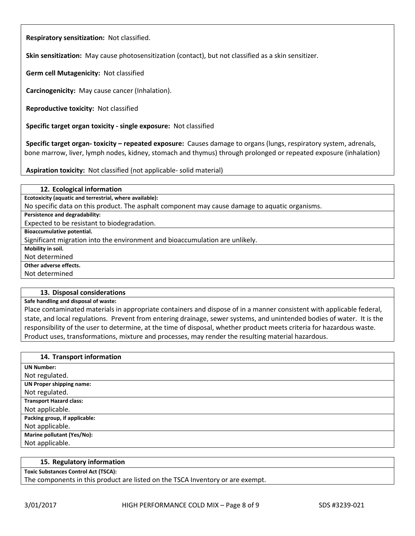**Respiratory sensitization:** Not classified.

**Skin sensitization:** May cause photosensitization (contact), but not classified as a skin sensitizer.

**Germ cell Mutagenicity:** Not classified

**Carcinogenicity:** May cause cancer (Inhalation).

**Reproductive toxicity:** Not classified

**Specific target organ toxicity - single exposure:** Not classified

**Specific target organ- toxicity – repeated exposure:** Causes damage to organs (lungs, respiratory system, adrenals, bone marrow, liver, lymph nodes, kidney, stomach and thymus) through prolonged or repeated exposure (inhalation)

**Aspiration toxicity:** Not classified (not applicable- solid material)

| 12. Ecological information                                                                     |
|------------------------------------------------------------------------------------------------|
| Ecotoxicity (aquatic and terrestrial, where available):                                        |
| No specific data on this product. The asphalt component may cause damage to aquatic organisms. |
| Persistence and degradability:                                                                 |
| Expected to be resistant to biodegradation.                                                    |
| Bioaccumulative potential.                                                                     |
| Significant migration into the environment and bioaccumulation are unlikely.                   |
| Mobility in soil.                                                                              |
| Not determined                                                                                 |
| Other adverse effects.                                                                         |
| Not determined                                                                                 |
|                                                                                                |

#### **13. Disposal considerations**

**Safe handling and disposal of waste:**

Place contaminated materials in appropriate containers and dispose of in a manner consistent with applicable federal, state, and local regulations. Prevent from entering drainage, sewer systems, and unintended bodies of water. It is the responsibility of the user to determine, at the time of disposal, whether product meets criteria for hazardous waste. Product uses, transformations, mixture and processes, may render the resulting material hazardous.

| 14. Transport information       |
|---------------------------------|
| <b>UN Number:</b>               |
| Not regulated.                  |
| <b>UN Proper shipping name:</b> |
| Not regulated.                  |
| <b>Transport Hazard class:</b>  |
| Not applicable.                 |
| Packing group, if applicable:   |
| Not applicable.                 |
| Marine pollutant (Yes/No):      |
| Not applicable.                 |

#### **15. Regulatory information**

**Toxic Substances Control Act (TSCA):**

The components in this product are listed on the TSCA Inventory or are exempt.